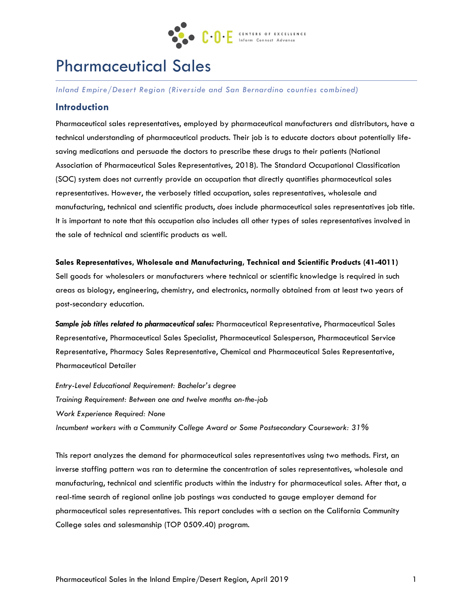

# Pharmaceutical Sales

*Inland Empire/Desert Region (Riverside and San Bernardino counties combined)* 

#### **Introduction**

Pharmaceutical sales representatives, employed by pharmaceutical manufacturers and distributors, have a technical understanding of pharmaceutical products. Their job is to educate doctors about potentially lifesaving medications and persuade the doctors to prescribe these drugs to their patients (National Association of Pharmaceutical Sales Representatives, 2018). The Standard Occupational Classification (SOC) system does not currently provide an occupation that directly quantifies pharmaceutical sales representatives. However, the verbosely titled occupation, sales representatives, wholesale and manufacturing, technical and scientific products, *does* include pharmaceutical sales representatives job title. It is important to note that this occupation also includes all other types of sales representatives involved in the sale of technical and scientific products as well.

#### **Sales Representatives, Wholesale and Manufacturing, Technical and Scientific Products (41-4011)**

Sell goods for wholesalers or manufacturers where technical or scientific knowledge is required in such areas as biology, engineering, chemistry, and electronics, normally obtained from at least two years of post-secondary education.

*Sample job titles related to pharmaceutical sales:* Pharmaceutical Representative, Pharmaceutical Sales Representative, Pharmaceutical Sales Specialist, Pharmaceutical Salesperson, Pharmaceutical Service Representative, Pharmacy Sales Representative, Chemical and Pharmaceutical Sales Representative, Pharmaceutical Detailer

*Entry-Level Educational Requirement: Bachelor's degree Training Requirement: Between one and twelve months on-the-job Work Experience Required: None Incumbent workers with a Community College Award or Some Postsecondary Coursework: 31%*

This report analyzes the demand for pharmaceutical sales representatives using two methods. First, an inverse staffing pattern was ran to determine the concentration of sales representatives, wholesale and manufacturing, technical and scientific products within the industry for pharmaceutical sales. After that, a real-time search of regional online job postings was conducted to gauge employer demand for pharmaceutical sales representatives. This report concludes with a section on the California Community College sales and salesmanship (TOP 0509.40) program.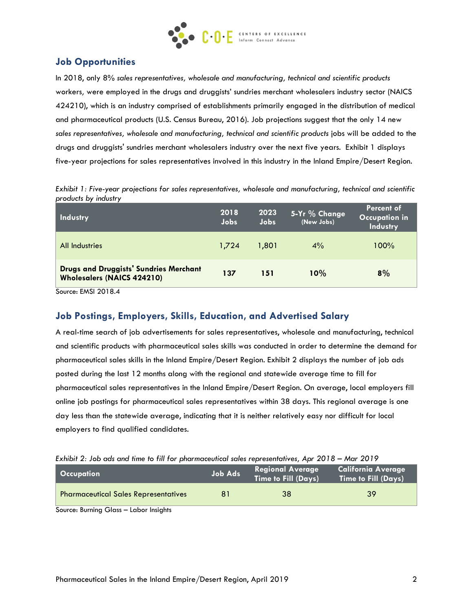

# **Job Opportunities**

In 2018, only 8% *sales representatives, wholesale and manufacturing, technical and scientific products* workers*,* were employed in the drugs and druggists' sundries merchant wholesalers industry sector (NAICS 424210), which is an industry comprised of establishments primarily engaged in the distribution of medical and pharmaceutical products (U.S. Census Bureau, 2016). Job projections suggest that the only 14 new *sales representatives, wholesale and manufacturing, technical and scientific products* jobs will be added to the drugs and druggists' sundries merchant wholesalers industry over the next five years. Exhibit 1 displays five-year projections for sales representatives involved in this industry in the Inland Empire/Desert Region.

| Exhibit 1: Five-year projections for sales representatives, wholesale and manufacturing, technical and scientific |  |
|-------------------------------------------------------------------------------------------------------------------|--|
| products by industry                                                                                              |  |

| <b>Industry</b>                                                                    | 2018<br>Jobs | 2023<br>Jobs | 5-Yr % Change<br>(New Jobs) | Percent of<br><b>Occupation in</b><br><b>Industry</b> |
|------------------------------------------------------------------------------------|--------------|--------------|-----------------------------|-------------------------------------------------------|
| All Industries                                                                     | 1.724        | 1,801        | $4\%$                       | $100\%$                                               |
| <b>Drugs and Druggists' Sundries Merchant</b><br><b>Wholesalers (NAICS 424210)</b> | 137          | 151          | 10%                         | 8%                                                    |

Source: EMSI 2018.4

### **Job Postings, Employers, Skills, Education, and Advertised Salary**

A real-time search of job advertisements for sales representatives, wholesale and manufacturing, technical and scientific products with pharmaceutical sales skills was conducted in order to determine the demand for pharmaceutical sales skills in the Inland Empire/Desert Region. Exhibit 2 displays the number of job ads posted during the last 12 months along with the regional and statewide average time to fill for pharmaceutical sales representatives in the Inland Empire/Desert Region. On average, local employers fill online job postings for pharmaceutical sales representatives within 38 days. This regional average is one day less than the statewide average, indicating that it is neither relatively easy nor difficult for local employers to find qualified candidates.

| Exhibit 2: Job ads and time to fill for pharmaceutical sales representatives, Apr 2018 – Mar 2019 |  |  |  |  |  |  |  |  |  |  |  |  |  |  |  |
|---------------------------------------------------------------------------------------------------|--|--|--|--|--|--|--|--|--|--|--|--|--|--|--|
|---------------------------------------------------------------------------------------------------|--|--|--|--|--|--|--|--|--|--|--|--|--|--|--|

| Occupation                                  | <b>Job Ads</b> | <b>Regional Average</b><br><b>Time to Fill (Days)</b> | <b>California Average</b><br><b>Time to Fill (Days)</b> |
|---------------------------------------------|----------------|-------------------------------------------------------|---------------------------------------------------------|
| <b>Pharmaceutical Sales Representatives</b> | 81             | 38                                                    | 39                                                      |

Source: Burning Glass – Labor Insights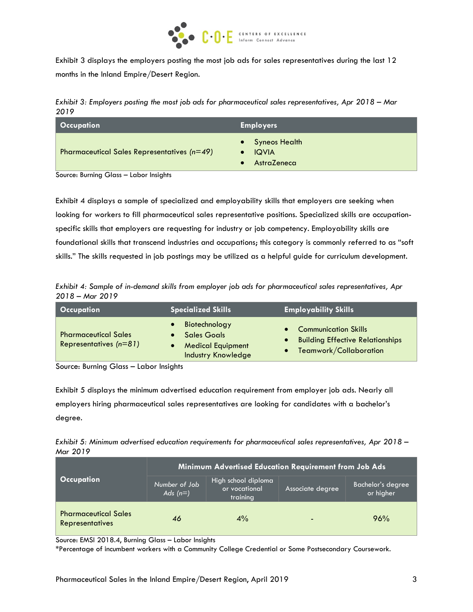

Exhibit 3 displays the employers posting the most job ads for sales representatives during the last 12 months in the Inland Empire/Desert Region.

*Exhibit 3: Employers posting the most job ads for pharmaceutical sales representatives, Apr 2018 – Mar 2019*

| <b>Occupation</b>                                               | <b>Employers</b>                                    |  |  |
|-----------------------------------------------------------------|-----------------------------------------------------|--|--|
| <b>Pharmaceutical Sales Representatives (<math>n=49</math>)</b> | <b>Syneos Health</b><br><b>IQVIA</b><br>AstraZeneca |  |  |

Source: Burning Glass – Labor Insights

Exhibit 4 displays a sample of specialized and employability skills that employers are seeking when looking for workers to fill pharmaceutical sales representative positions. Specialized skills are occupationspecific skills that employers are requesting for industry or job competency. Employability skills are foundational skills that transcend industries and occupations; this category is commonly referred to as "soft skills." The skills requested in job postings may be utilized as a helpful guide for curriculum development.

*Exhibit 4: Sample of in-demand skills from employer job ads for pharmaceutical sales representatives, Apr 2018 – Mar 2019*

| <b>Occupation</b>                                       | Specialized Skills                                                                           | <b>Employability Skills</b>                                                                      |
|---------------------------------------------------------|----------------------------------------------------------------------------------------------|--------------------------------------------------------------------------------------------------|
| <b>Pharmaceutical Sales</b><br>Representatives $(n=81)$ | Biotechnology<br><b>Sales Goals</b><br><b>Medical Equipment</b><br><b>Industry Knowledge</b> | <b>Communication Skills</b><br><b>Building Effective Relationships</b><br>Teamwork/Collaboration |

Source: Burning Glass – Labor Insights

Exhibit 5 displays the minimum advertised education requirement from employer job ads. Nearly all employers hiring pharmaceutical sales representatives are looking for candidates with a bachelor's degree.

*Exhibit 5: Minimum advertised education requirements for pharmaceutical sales representatives, Apr 2018 – Mar 2019*

|                                                       | Minimum Advertised Education Requirement from Job Ads |                                                  |                  |                                |  |  |
|-------------------------------------------------------|-------------------------------------------------------|--------------------------------------------------|------------------|--------------------------------|--|--|
| <b>Occupation</b>                                     | Number of Job<br>Ads $(n=)$                           | High school diploma<br>or vocational<br>training | Associate degree | Bachelor's degree<br>or higher |  |  |
| <b>Pharmaceutical Sales</b><br><b>Representatives</b> | 46                                                    | 4%                                               |                  | 96%                            |  |  |

Source: EMSI 2018.4, Burning Glass – Labor Insights

\*Percentage of incumbent workers with a Community College Credential or Some Postsecondary Coursework.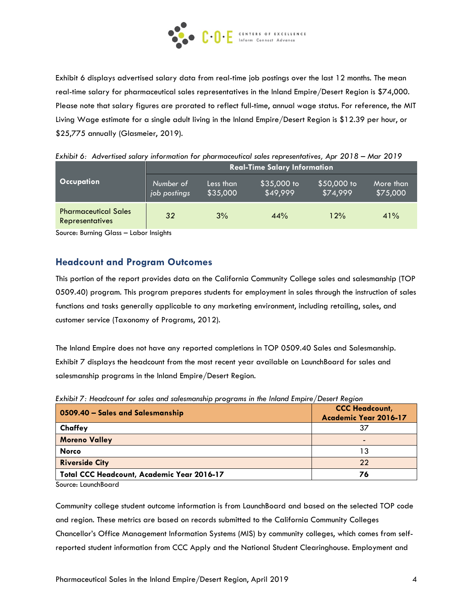

Exhibit 6 displays advertised salary data from real-time job postings over the last 12 months. The mean real-time salary for pharmaceutical sales representatives in the Inland Empire/Desert Region is \$74,000. Please note that salary figures are prorated to reflect full-time, annual wage status. For reference, the MIT Living Wage estimate for a single adult living in the Inland Empire/Desert Region is \$12.39 per hour, or \$25,775 annually (Glasmeier, 2019).

|                                                       | <b>Real-Time Salary Information</b> |                       |                         |                         |                       |  |  |  |
|-------------------------------------------------------|-------------------------------------|-----------------------|-------------------------|-------------------------|-----------------------|--|--|--|
| <b>Occupation</b>                                     | Number of<br>job postings           | Less than<br>\$35,000 | \$35,000 to<br>\$49,999 | \$50,000 to<br>\$74,999 | More than<br>\$75,000 |  |  |  |
| <b>Pharmaceutical Sales</b><br><b>Representatives</b> | 32                                  | 3%                    | 44%                     | 12%                     | 41%                   |  |  |  |

*Exhibit 6: Advertised salary information for pharmaceutical sales representatives, Apr 2018 – Mar 2019*

Source: Burning Glass – Labor Insights

#### **Headcount and Program Outcomes**

This portion of the report provides data on the California Community College sales and salesmanship (TOP 0509.40) program. This program prepares students for employment in sales through the instruction of sales functions and tasks generally applicable to any marketing environment, including retailing, sales, and customer service (Taxonomy of Programs, 2012).

The Inland Empire does not have any reported completions in TOP 0509.40 Sales and Salesmanship. Exhibit 7 displays the headcount from the most recent year available on LaunchBoard for sales and salesmanship programs in the Inland Empire/Desert Region.

| 0509.40 - Sales and Salesmanship                  | <b>CCC Headcount,</b><br>Academic Year 2016-17 |
|---------------------------------------------------|------------------------------------------------|
| Chaffey                                           |                                                |
| <b>Moreno Valley</b>                              |                                                |
| <b>Norco</b>                                      | 13                                             |
| <b>Riverside City</b>                             | 22                                             |
| <b>Total CCC Headcount, Academic Year 2016-17</b> | 76                                             |

*Exhibit 7: Headcount for sales and salesmanship programs in the Inland Empire/Desert Region*

Source: LaunchBoard

Community college student outcome information is from LaunchBoard and based on the selected TOP code and region. These metrics are based on records submitted to the California Community Colleges Chancellor's Office Management Information Systems (MIS) by community colleges, which comes from selfreported student information from CCC Apply and the National Student Clearinghouse. Employment and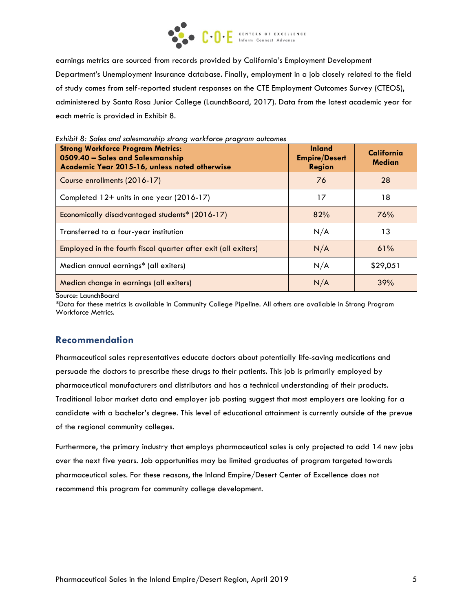

earnings metrics are sourced from records provided by California's Employment Development Department's Unemployment Insurance database. Finally, employment in a job closely related to the field of study comes from self-reported student responses on the CTE Employment Outcomes Survey (CTEOS), administered by Santa Rosa Junior College (LaunchBoard, 2017). Data from the latest academic year for each metric is provided in Exhibit 8.

| <b>Strong Workforce Program Metrics:</b><br>0509.40 - Sales and Salesmanship<br>Academic Year 2015-16, unless noted otherwise | <b>Inland</b><br><b>Empire/Desert</b><br><b>Region</b> | California<br><b>Median</b> |
|-------------------------------------------------------------------------------------------------------------------------------|--------------------------------------------------------|-----------------------------|
| Course enrollments (2016-17)                                                                                                  | 76                                                     | 28                          |
| Completed 12+ units in one year (2016-17)                                                                                     | 17                                                     | 18                          |
| Economically disadvantaged students* (2016-17)                                                                                | 82%                                                    | 76%                         |
| Transferred to a four-year institution                                                                                        | N/A                                                    | 13                          |
| Employed in the fourth fiscal quarter after exit (all exiters)                                                                | N/A                                                    | 61%                         |
| Median annual earnings* (all exiters)                                                                                         | N/A                                                    | \$29,051                    |
| Median change in earnings (all exiters)                                                                                       | N/A                                                    | 39%                         |

*Exhibit 8: Sales and salesmanship strong workforce program outcomes*

Source: LaunchBoard

\*Data for these metrics is available in Community College Pipeline. All others are available in Strong Program Workforce Metrics.

# **Recommendation**

Pharmaceutical sales representatives educate doctors about potentially life-saving medications and persuade the doctors to prescribe these drugs to their patients. This job is primarily employed by pharmaceutical manufacturers and distributors and has a technical understanding of their products. Traditional labor market data and employer job posting suggest that most employers are looking for a candidate with a bachelor's degree. This level of educational attainment is currently outside of the prevue of the regional community colleges.

Furthermore, the primary industry that employs pharmaceutical sales is only projected to add 14 new jobs over the next five years. Job opportunities may be limited graduates of program targeted towards pharmaceutical sales. For these reasons, the Inland Empire/Desert Center of Excellence does not recommend this program for community college development.